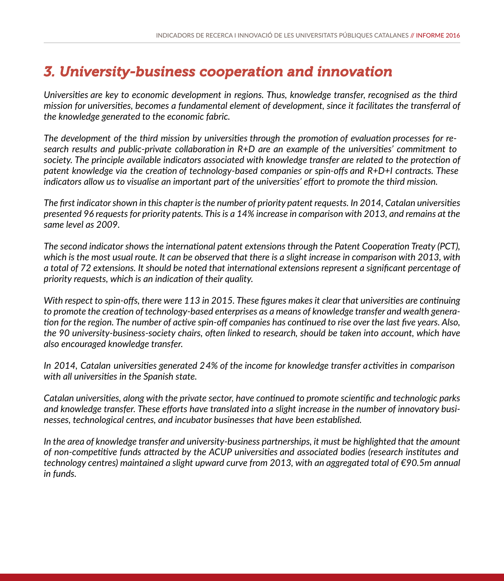# *3. University-business cooperation and innovation*

*Universities are key to economic development in regions. Thus, knowledge transfer, recognised as the third mission for universities, becomes a fundamental element of development, since it facilitates the transferral of the knowledge generated to the economic fabric.* 

*The development of the third mission by universities through the promotion of evaluation processes for research results and public-private collaboration in R+D are an example of the universities' commitment to society. The principle available indicators associated with knowledge transfer are related to the protection of patent knowledge via the creation of technology-based companies or spin-offs and R+D+I contracts. These indicators allow us to visualise an important part of the universities' effort to promote the third mission.*

*The first indicator shown in this chapter is the number of priority patent requests. In 2014, Catalan universities presented 96 requests for priority patents. This is a 14% increase in comparison with 2013, and remains at the same level as 2009.*

*The second indicator shows the international patent extensions through the Patent Cooperation Treaty (PCT), which is the most usual route. It can be observed that there is a slight increase in comparison with 2013, with a total of 72 extensions. It should be noted that international extensions represent a significant percentage of priority requests, which is an indication of their quality.*

*With respect to spin-offs, there were 113 in 2015. These figures makes it clear that universities are continuing to promote the creation of technology-based enterprises as a means of knowledge transfer and wealth generation for the region. The number of active spin-off companies has continued to rise over the last five years. Also, the 90 university-business-society chairs, often linked to research, should be taken into account, which have also encouraged knowledge transfer.*

*In 2014, Catalan universities generated 24% of the income for knowledge transfer activities in comparison with all universities in the Spanish state.* 

*Catalan universities, along with the private sector, have continued to promote scientific and technologic parks and knowledge transfer. These efforts have translated into a slight increase in the number of innovatory businesses, technological centres, and incubator businesses that have been established.* 

*In the area of knowledge transfer and university-business partnerships, it must be highlighted that the amount of non-competitive funds attracted by the ACUP universities and associated bodies (research institutes and technology centres) maintained a slight upward curve from 2013, with an aggregated total of €90.5m annual in funds.*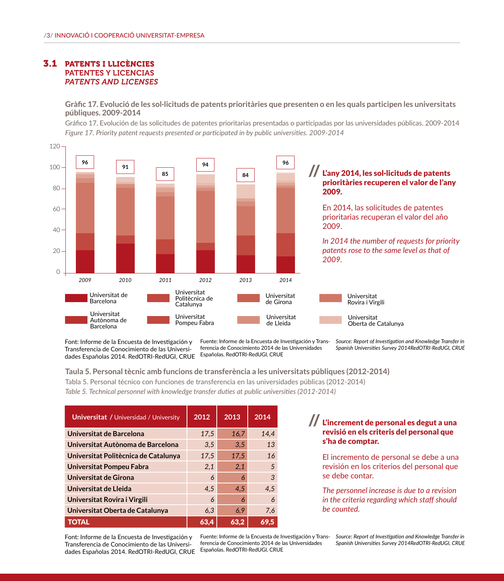### 3.1 PATENTS I LLICÈNCIES PATENTES Y LICENCIAS *PATENTS AND LICENSES*

**Gràfic 17. Evolució de les sol·licituds de patents prioritàries que presenten o en les quals participen les universitats públiques. 2009-2014**

Gráfico 17. Evolución de las solicitudes de patentes prioritarias presentadas o participadas por las universidades públicas. 2009-2014 *Figure 17. Priority patent requests presented or participated in by public universities. 2009-2014* 



Font: Informe de la Encuesta de Investigación y Transferencia de Conocimiento de las Universidades Españolas 2014. RedOTRI-RedUGI, CRUE Españolas. RedOTRI-RedUGI, CRUE

Fuente: Informe de la Encuesta de Investigación y Transferencia de Conocimiento 2014 de las Universidades

*Source: Report of Investigation and Knowledge Transfer in Spanish Universities Survey 2014RedOTRI-RedUGI, CRUE*

#### **Taula 5. Personal tècnic amb funcions de transferència a les universitats públiques (2012-2014)**

Tabla 5. Personal técnico con funciones de transferencia en las universidades públicas (2012-2014)

*Table 5. Technical personnel with knowledge transfer duties at public universities (2012-2014)* 

| <b>Universitat / Universidad / University</b> | 2012 | 2013 | 2014 |
|-----------------------------------------------|------|------|------|
| Universitat de Barcelona                      | 17,5 | 16,7 | 14.4 |
| Universitat Autònoma de Barcelona             | 3,5  | 3,5  | 13   |
| Universitat Politècnica de Catalunya          | 17,5 | 17,5 | 16   |
| Universitat Pompeu Fabra                      | 2,1  | 2,1  | 5    |
| Universitat de Girona                         | 6    | 6    | 3    |
| Universitat de Lleida                         | 4.5  | 4.5  | 4.5  |
| Universitat Rovira i Virgili                  | 6    | 6    | 6    |
| Universitat Oberta de Catalunya               | 6,3  | 6.9  | 7,6  |
| <b>TOTAL</b>                                  | 63,4 | 63,2 | 69,5 |

Font: Informe de la Encuesta de Investigación y Transferencia de Conocimiento de las Universidades Españolas 2014. RedOTRI-RedUGI, CRUE

Fuente: Informe de la Encuesta de Investigación y Transferencia de Conocimiento 2014 de las Universidades Españolas. RedOTRI-RedUGI, CRUE

#### L'increment de personal es degut a una revisió en els criteris del personal que s'ha de comptar. //

El incremento de personal se debe a una revisión en los criterios del personal que se debe contar.

*The personnel increase is due to a revision in the criteria regarding which staff should be counted.*

*Source: Report of Investigation and Knowledge Transfer in Spanish Universities Survey 2014RedOTRI-RedUGI, CRUE*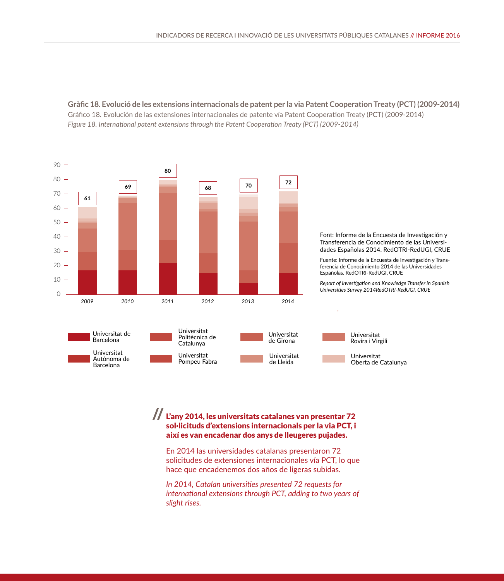**Gràfic 18. Evolució de les extensions internacionals de patent per la via Patent Cooperation Treaty (PCT) (2009-2014)** Gráfico 18. Evolución de las extensiones internacionales de patente vía Patent Cooperation Treaty (PCT) (2009-2014) *Figure 18. International patent extensions through the Patent Cooperation Treaty (PCT) (2009-2014)*



# L'any 2014, les universitats catalanes van presentar 72 // sol·licituds d'extensions internacionals per la via PCT, i així es van encadenar dos anys de lleugeres pujades.

En 2014 las universidades catalanas presentaron 72 solicitudes de extensiones internacionales vía PCT, lo que hace que encadenemos dos años de ligeras subidas.

*In 2014, Catalan universities presented 72 requests for international extensions through PCT, adding to two years of slight rises.*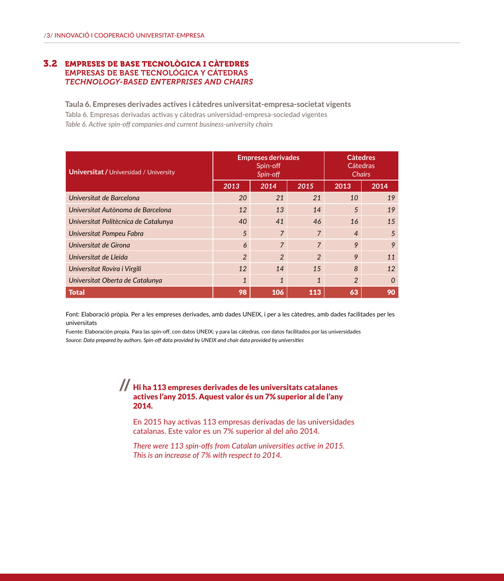### 3.2 EMPRESES DE BASE TECNOLÒGICA I CÀTEDRES EMPRESAS DE BASE TECNOLÓGICA Y CÁTEDRAS *TECHNOLOGY-BASED ENTERPRISES AND CHAIRS*

**Taula 6. Empreses derivades actives i càtedres universitat-empresa-societat vigents** Tabla 6. Empresas derivadas activas y cátedras universidad-empresa-sociedad vigentes *Table 6. Active spin-off companies and current business-university chairs* 

| <b>Universitat / Universidad / University</b> | <b>Empreses derivades</b><br>Spin-off<br>Spin-off |                |                | <b>C</b> àtedres<br>Cátedras<br><b>Chairs</b> |          |
|-----------------------------------------------|---------------------------------------------------|----------------|----------------|-----------------------------------------------|----------|
|                                               | 2013                                              | 2014           | 2015           | 2013                                          | 2014     |
| Universitat de Barcelona                      | 20                                                | 21             | 21             | 10                                            | 19       |
| Universitat Autònoma de Barcelona             | 12                                                | 13             | 14             | 5                                             | 19       |
| Universitat Politècnica de Catalunya          | 40                                                | 41             | 46             | 16                                            | 15       |
| Universitat Pompeu Fabra                      | 5                                                 | $\overline{7}$ | $\overline{7}$ | $\overline{4}$                                | 5        |
| Universitat de Girona                         | 6                                                 | $\overline{7}$ | $\overline{7}$ | 9                                             | 9        |
| Universitat de Lleida                         | $\mathfrak{p}$                                    | $\mathfrak{D}$ | $\mathfrak{D}$ | 9                                             | 11       |
| Universitat Rovira i Virgili                  | 12                                                | 14             | 1.5            | 8                                             | 12       |
| Universitat Oberta de Catalunya               | $\mathbf{1}$                                      | $\mathbf{1}$   | $\mathbf{1}$   | $\mathfrak{p}$                                | $\Omega$ |
| <b>Total</b>                                  | 98                                                | 106            | 113            | 63                                            | 90       |

Font: Elaboració pròpia. Per a les empreses derivades, amb dades UNEIX, i per a les càtedres, amb dades facilitades per les universitats

Fuente: Elaboración propia. Para las spin-off, con datos UNEIX; y para las cátedras, con datos facilitados por las universidades *Source: Data prepared by authors. Spin-off data provided by UNEIX and chair data provided by universities*

## $\displaystyle\int\int$  Hi ha 113 empreses derivades de les universitats catalanes actives l'any 2015. Aquest valor és un 7% superior al de l'any 2014.

En 2015 hay activas 113 empresas derivadas de las universidades catalanas. Este valor es un 7% superior al del año 2014.

*There were 113 spin-offs from Catalan universities active in 2015. This is an increase of 7% with respect to 2014.*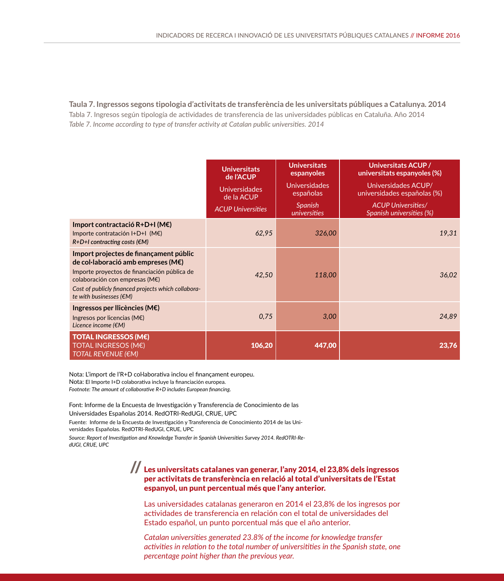**Taula 7. Ingressos segons tipologia d'activitats de transferència de les universitats públiques a Catalunya. 2014** Tabla 7. Ingresos según tipología de actividades de transferencia de las universidades públicas en Cataluña. Año 2014 *Table 7. Income according to type of transfer activity at Catalan public universities. 2014* 

|                                                                                                                                                                                                                                                                                  | <b>Universitats</b><br>de l'ACUP<br><b>Universidades</b><br>de la ACUP<br><b>ACUP Universities</b> | <b>Universitats</b><br>espanyoles<br><b>Universidades</b><br>españolas<br><b>Spanish</b><br>universities | Universitats ACUP /<br>universitats espanyoles (%)<br>Universidades ACUP/<br>universidades españolas (%)<br><b>ACUP Universities/</b><br>Spanish universities (%) |
|----------------------------------------------------------------------------------------------------------------------------------------------------------------------------------------------------------------------------------------------------------------------------------|----------------------------------------------------------------------------------------------------|----------------------------------------------------------------------------------------------------------|-------------------------------------------------------------------------------------------------------------------------------------------------------------------|
| Import contractació R+D+I (M€)<br>Importe contratación I+D+I (M€)<br>$R+D+I$ contracting costs ( $\epsilon M$ )                                                                                                                                                                  | 62,95                                                                                              | 326,00                                                                                                   | 19.31                                                                                                                                                             |
| Import projectes de finançament públic<br>de col·laboració amb empreses (M $\epsilon$ )<br>Importe proyectos de financiación pública de<br>colaboración con empresas ( $M\epsilon$ )<br>Cost of publicly financed projects which collabora-<br>te with businesses $(\epsilon M)$ | 42.50                                                                                              | 118,00                                                                                                   | 36,02                                                                                                                                                             |
| Ingressos per Ilicències (M $\epsilon$ )<br>Ingresos por licencias ( $M\epsilon$ )<br>Licence income ( $\notin M$ )                                                                                                                                                              | 0,75                                                                                               | 3,00                                                                                                     | 24.89                                                                                                                                                             |
| <b>TOTAL INGRESSOS (ME)</b><br><b>TOTAL INGRESOS (M€)</b><br>TOTAL REVENUE (€M)                                                                                                                                                                                                  | 106,20                                                                                             | 447,00                                                                                                   | 23.76                                                                                                                                                             |

Nota: L'import de l'R+D col·laborativa inclou el finançament europeu. Nota: El Importe I+D colaborativa incluye la financiación europea. *Footnote: The amount of collaborative R+D includes European financing.*

Font: Informe de la Encuesta de Investigación y Transferencia de Conocimiento de las Universidades Españolas 2014. RedOTRI-RedUGI, CRUE, UPC

Fuente: Informe de la Encuesta de Investigación y Transferencia de Conocimiento 2014 de las Universidades Españolas. RedOTRI-RedUGI, CRUE, UPC

*Source: Report of Investigation and Knowledge Transfer in Spanish Universities Survey 2014. RedOTRI-RedUGI, CRUE, UPC*

# Les universitats catalanes van generar, l'any 2014, el 23,8% dels ingressos // per activitats de transferència en relació al total d'universitats de l'Estat espanyol, un punt percentual més que l'any anterior.

Las universidades catalanas generaron en 2014 el 23,8% de los ingresos por actividades de transferencia en relación con el total de universidades del Estado español, un punto porcentual más que el año anterior.

*Catalan universities generated 23.8% of the income for knowledge transfer activities in relation to the total number of universitities in the Spanish state, one percentage point higher than the previous year.*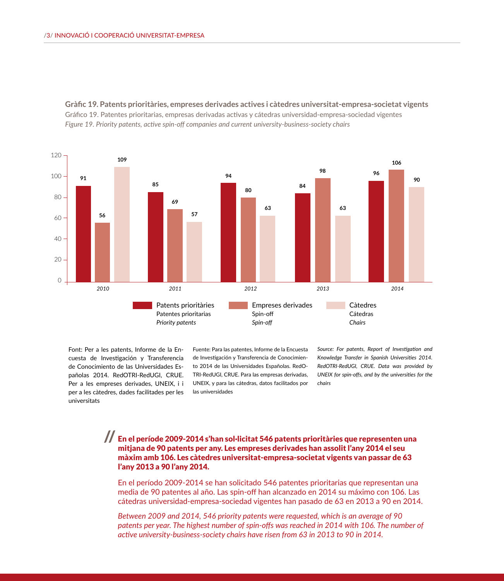



Font: Per a les patents, Informe de la Encuesta de Investigación y Transferencia de Conocimiento de las Universidades Españolas 2014. RedOTRI-RedUGI, CRUE. Per a les empreses derivades, UNEIX, i i per a les càtedres, dades facilitades per les universitats

Fuente: Para las patentes, Informe de la Encuesta de Investigación y Transferencia de Conocimiento 2014 de las Universidades Españolas. RedO-TRI-RedUGI, CRUE. Para las empresas derivadas, UNEIX, y para las cátedras, datos facilitados por las universidades

*Source: For patents, Report of Investigation and Knowledge Transfer in Spanish Universities 2014. RedOTRI-RedUGI, CRUE. Data was provided by UNEIX for spin-offs, and by the universities for the chairs*

En el període 2009-2014 s'han sol·licitat 546 patents prioritàries que representen una // mitjana de 90 patents per any. Les empreses derivades han assolit l'any 2014 el seu màxim amb 106. Les càtedres universitat-empresa-societat vigents van passar de 63 l'any 2013 a 90 l'any 2014.

En el período 2009-2014 se han solicitado 546 patentes prioritarias que representan una media de 90 patentes al año. Las spin-off han alcanzado en 2014 su máximo con 106. Las cátedras universidad-empresa-sociedad vigentes han pasado de 63 en 2013 a 90 en 2014.

*Between 2009 and 2014, 546 priority patents were requested, which is an average of 90*  patents per year. The highest number of spin-offs was reached in 2014 with 106. The number of *active university-business-society chairs have risen from 63 in 2013 to 90 in 2014.*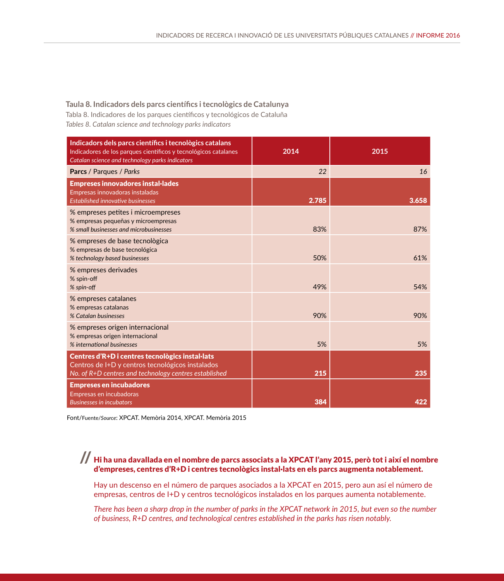#### **Taula 8. Indicadors dels parcs científics i tecnològics de Catalunya**

Tabla 8. Indicadores de los parques científicos y tecnológicos de Cataluña *Tables 8. Catalan science and technology parks indicators*

| Indicadors dels parcs científics i tecnològics catalans<br>Indicadores de los parques científicos y tecnológicos catalanes<br>Catalan science and technology parks indicators | 2014  | 2015  |
|-------------------------------------------------------------------------------------------------------------------------------------------------------------------------------|-------|-------|
| <b>Parcs / Parques / Parks</b>                                                                                                                                                | 22    | 16    |
| <b>Empreses innovadores instal·lades</b><br>Empresas innovadoras instaladas<br><b>Established innovative businesses</b>                                                       | 2.785 | 3.658 |
| % empreses petites i microempreses<br>% empresas pequeñas y microempresas<br>% small businesses and microbusinesses                                                           | 83%   | 87%   |
| % empreses de base tecnològica<br>% empresas de base tecnológica<br>% technology based businesses                                                                             | 50%   | 61%   |
| % empreses derivades<br>% spin-off<br>% spin-off                                                                                                                              | 49%   | 54%   |
| % empreses catalanes<br>% empresas catalanas<br>% Catalan businesses                                                                                                          | 90%   | 90%   |
| % empreses origen internacional<br>% empresas origen internacional<br>% international businesses                                                                              | 5%    | 5%    |
| Centres d'R+D i centres tecnològics instal·lats<br>Centros de I+D y centros tecnológicos instalados<br>No. of R+D centres and technology centres established                  | 215   | 235   |
| <b>Empreses en incubadores</b><br>Empresas en incubadoras<br><b>Businesses in incubators</b>                                                                                  | 384   | 422   |

Font/Fuente/*Source*: XPCAT. Memòria 2014, XPCAT. Memòria 2015

# Hi ha una davallada en el nombre de parcs associats a la XPCAT l'any 2015, però tot i així el nombre // d'empreses, centres d'R+D i centres tecnològics instal·lats en els parcs augmenta notablement.

Hay un descenso en el número de parques asociados a la XPCAT en 2015, pero aun así el número de empresas, centros de I+D y centros tecnológicos instalados en los parques aumenta notablemente.

*There has been a sharp drop in the number of parks in the XPCAT network in 2015, but even so the number of business, R+D centres, and technological centres established in the parks has risen notably.*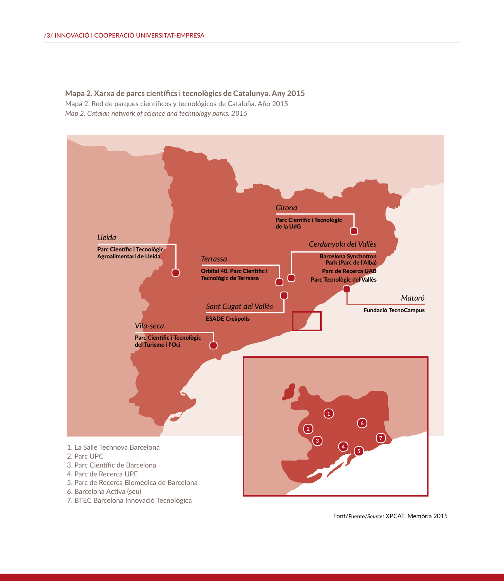**Mapa 2. Xarxa de parcs científics i tecnològics de Catalunya. Any 2015** Mapa 2. Red de parques científicos y tecnológicos de Cataluña. Año 2015 *Map 2. Catalan network of science and technology parks. 2015*



Font/Fuente/*Source*: XPCAT. Memòria 2015